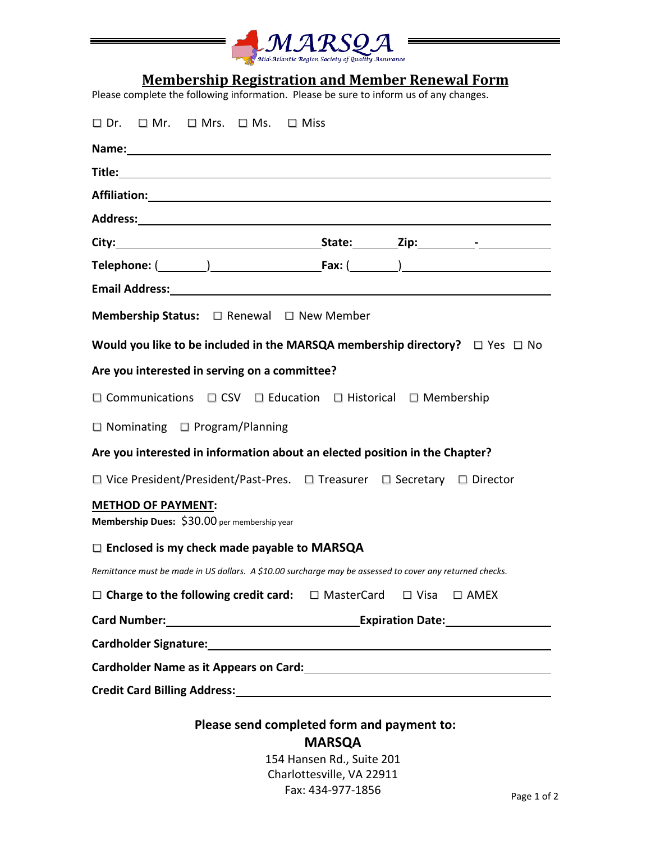

## **Membership Registration and Member Renewal Form**

Please complete the following information. Please be sure to inform us of any changes.

| $\square$ Dr. $\square$ Mr. $\square$ Mrs. $\square$ Ms. $\square$ Miss                                                                                                                                                        |  |  |  |  |  |  |  |
|--------------------------------------------------------------------------------------------------------------------------------------------------------------------------------------------------------------------------------|--|--|--|--|--|--|--|
| Name: Name and the state of the state of the state of the state of the state of the state of the state of the state of the state of the state of the state of the state of the state of the state of the state of the state of |  |  |  |  |  |  |  |
|                                                                                                                                                                                                                                |  |  |  |  |  |  |  |
|                                                                                                                                                                                                                                |  |  |  |  |  |  |  |
|                                                                                                                                                                                                                                |  |  |  |  |  |  |  |
|                                                                                                                                                                                                                                |  |  |  |  |  |  |  |
| Telephone: $(\_\_\_\_)$ [Fax: $(\_\_\_\_)$                                                                                                                                                                                     |  |  |  |  |  |  |  |
|                                                                                                                                                                                                                                |  |  |  |  |  |  |  |
| <b>Membership Status:</b> □ Renewal □ New Member                                                                                                                                                                               |  |  |  |  |  |  |  |
| Would you like to be included in the MARSQA membership directory? $\square$ Yes $\square$ No                                                                                                                                   |  |  |  |  |  |  |  |
| Are you interested in serving on a committee?                                                                                                                                                                                  |  |  |  |  |  |  |  |
| □ Communications □ CSV □ Education □ Historical □ Membership                                                                                                                                                                   |  |  |  |  |  |  |  |
| $\Box$ Nominating $\Box$ Program/Planning                                                                                                                                                                                      |  |  |  |  |  |  |  |
| Are you interested in information about an elected position in the Chapter?                                                                                                                                                    |  |  |  |  |  |  |  |
| □ Vice President/President/Past-Pres. □ Treasurer □ Secretary □ Director                                                                                                                                                       |  |  |  |  |  |  |  |
| <b>METHOD OF PAYMENT:</b><br>Membership Dues: \$30.00 per membership year                                                                                                                                                      |  |  |  |  |  |  |  |
| $\Box$ Enclosed is my check made payable to MARSQA                                                                                                                                                                             |  |  |  |  |  |  |  |
| Remittance must be made in US dollars. A \$10.00 surcharge may be assessed to cover any returned checks.                                                                                                                       |  |  |  |  |  |  |  |
| $\Box$ Charge to the following credit card: $\Box$ MasterCard $\Box$ Visa $\Box$ AMEX                                                                                                                                          |  |  |  |  |  |  |  |
|                                                                                                                                                                                                                                |  |  |  |  |  |  |  |
|                                                                                                                                                                                                                                |  |  |  |  |  |  |  |
|                                                                                                                                                                                                                                |  |  |  |  |  |  |  |
| Credit Card Billing Address: Manual According to the Credit Card Billing Address:                                                                                                                                              |  |  |  |  |  |  |  |
| Please send completed form and payment to:                                                                                                                                                                                     |  |  |  |  |  |  |  |

**MARSQA** 

154 Hansen Rd., Suite 201 Charlottesville, VA 22911 Fax: 434-977-1856